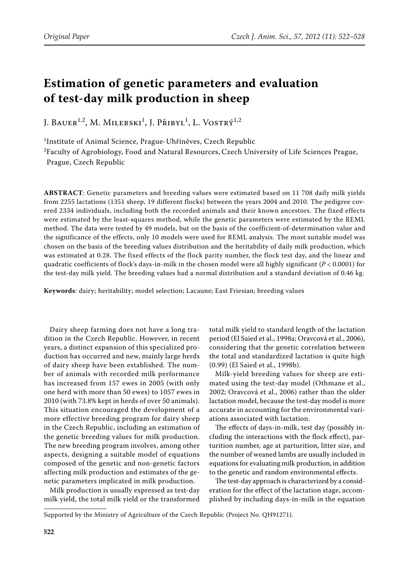# **Estimation of genetic parameters and evaluation of test-day milk production in sheep**

J. Bauer<sup>1,2</sup>, M. Milerski<sup>1</sup>, J. Přibyl<sup>1</sup>, L. Vostrý<sup>1,2</sup>

1 Institute of Animal Science, Prague-Uhříněves, Czech Republic

 $^{2}$ Faculty of Agrobiology, Food and Natural Resources, Czech University of Life Sciences Prague, Prague, Czech Republic

**ABSTRACT**: Genetic parameters and breeding values were estimated based on 11 708 daily milk yields from 2255 lactations (1351 sheep, 19 different flocks) between the years 2004 and 2010. The pedigree covered 2334 individuals, including both the recorded animals and their known ancestors. The fixed effects were estimated by the least-squares method, while the genetic parameters were estimated by the REML method. The data were tested by 49 models, but on the basis of the coefficient-of-determination value and the significance of the effects, only 10 models were used for REML analysis. The most suitable model was chosen on the basis of the breeding values distribution and the heritability of daily milk production, which was estimated at 0.28. The fixed effects of the flock parity number, the flock test day, and the linear and quadratic coefficients of flock's days-in-milk in the chosen model were all highly significant (*P* < 0.0001) for the test-day milk yield. The breeding values had a normal distribution and a standard deviation of 0.46 kg.

**Keywords**: dairy; heritability; model selection; Lacaune; East Friesian; breeding values

Dairy sheep farming does not have a long tradition in the Czech Republic. However, in recent years, a distinct expansion of this specialized production has occurred and new, mainly large herds of dairy sheep have been established. The number of animals with recorded milk performance has increased from 157 ewes in 2005 (with only one herd with more than 50 ewes) to 1057 ewes in 2010 (with 73.8% kept in herds of over 50 animals). This situation encouraged the development of a more effective breeding program for dairy sheep in the Czech Republic, including an estimation of the genetic breeding values for milk production. The new breeding program involves, among other aspects, designing a suitable model of equations composed of the genetic and non-genetic factors affecting milk production and estimates of the genetic parameters implicated in milk production.

Milk production is usually expressed as test-day milk yield, the total milk yield or the transformed

total milk yield to standard length of the lactation period (El Saied et al., 1998a; Oravcová et al., 2006), considering that the genetic correlation between the total and standardized lactation is quite high (0.99) (El Saied et al., 1998b).

Milk-yield breeding values for sheep are estimated using the test-day model (Othmane et al., 2002; Oravcová et al., 2006) rather than the older lactation model, because the test-day model is more accurate in accounting for the environmental variations associated with lactation.

The effects of days-in-milk, test day (possibly including the interactions with the flock effect), parturition number, age at parturition, litter size, and the number of weaned lambs are usually included in equations for evaluating milk production, in addition to the genetic and random environmental effects.

The test-day approach is characterized by a consideration for the effect of the lactation stage, accomplished by including days-in-milk in the equation

Supported by the Ministry of Agriculture of the Czech Republic (Project No. QH91271).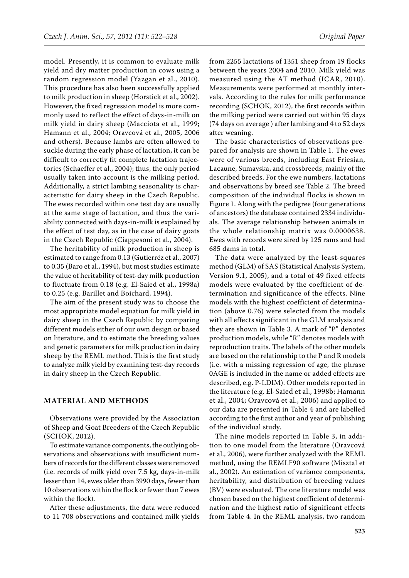model. Presently, it is common to evaluate milk yield and dry matter production in cows using a random regression model (Yazgan et al., 2010). This procedure has also been successfully applied to milk production in sheep (Horstick et al., 2002). However, the fixed regression model is more commonly used to reflect the effect of days-in-milk on milk yield in dairy sheep (Macciota et al., 1999; Hamann et al., 2004; Oravcová et al., 2005, 2006 and others). Because lambs are often allowed to suckle during the early phase of lactation, it can be difficult to correctly fit complete lactation trajectories (Schaeffer et al., 2004); thus, the only period usually taken into account is the milking period. Additionally, a strict lambing seasonality is characteristic for dairy sheep in the Czech Republic. The ewes recorded within one test day are usually at the same stage of lactation, and thus the variability connected with days-in-milk is explained by the effect of test day, as in the case of dairy goats in the Czech Republic (Ciappesoni et al., 2004).

The heritability of milk production in sheep is estimated to range from 0.13 (Gutierréz et al., 2007) to 0.35 (Baro et al., 1994), but most studies estimate the value of heritability of test-day milk production to fluctuate from 0.18 (e.g. El-Saied et al., 1998a) to 0.25 (e.g. Barillet and Boichard, 1994).

The aim of the present study was to choose the most appropriate model equation for milk yield in dairy sheep in the Czech Republic by comparing different models either of our own design or based on literature, and to estimate the breeding values and genetic parameters for milk production in dairy sheep by the REML method. This is the first study to analyze milk yield by examining test-day records in dairy sheep in the Czech Republic.

## **MATERIAL AND METHODS**

Observations were provided by the Association of Sheep and Goat Breeders of the Czech Republic (SCHOK, 2012).

To estimate variance components, the outlying observations and observations with insufficient numbers of records for the different classes were removed (i.e. records of milk yield over 7.5 kg, days-in-milk lesser than 14, ewes older than 3990 days, fewer than 10 observations within the flock or fewer than 7 ewes within the flock).

After these adjustments, the data were reduced to 11 708 observations and contained milk yields from 2255 lactations of 1351 sheep from 19 flocks between the years 2004 and 2010. Milk yield was measured using the AT method (ICAR, 2010). Measurements were performed at monthly intervals. According to the rules for milk performance recording (SCHOK, 2012), the first records within the milking period were carried out within 95 days (74 days on average ) after lambing and 4 to 52 days after weaning.

The basic characteristics of observations prepared for analysis are shown in Table 1. The ewes were of various breeds, including East Friesian, Lacaune, Sumavska, and crossbreeds, mainly of the described breeds. For the ewe numbers, lactations and observations by breed see Table 2. The breed composition of the individual flocks is shown in Figure 1. Along with the pedigree (four generations of ancestors) the database contained 2334 individuals. The average relationship between animals in the whole relationship matrix was 0.0000638. Ewes with records were sired by 125 rams and had 685 dams in total.

The data were analyzed by the least-squares method (GLM) of SAS (Statistical Analysis System, Version 9.1, 2005), and a total of 49 fixed effects models were evaluated by the coefficient of determination and significance of the effects. Nine models with the highest coefficient of determination (above 0.76) were selected from the models with all effects significant in the GLM analysis and they are shown in Table 3. A mark of "P" denotes production models, while "R" denotes models with reproduction traits. The labels of the other models are based on the relationship to the P and R models (i.e. with a missing regression of age, the phrase 0AGE is included in the name or added effects are described, e.g. P-LDIM). Other models reported in the literature (e.g. El-Saied et al., 1998b; Hamann et al., 2004; Oravcová et al., 2006) and applied to our data are presented in Table 4 and are labelled according to the first author and year of publishing of the individual study.

The nine models reported in Table 3, in addition to one model from the literature (Oravcová et al., 2006), were further analyzed with the REML method, using the REMLF90 software (Misztal et al., 2002). An estimation of variance components, heritability, and distribution of breeding values (BV) were evaluated. The one literature model was chosen based on the highest coefficient of determination and the highest ratio of significant effects from Table 4. In the REML analysis, two random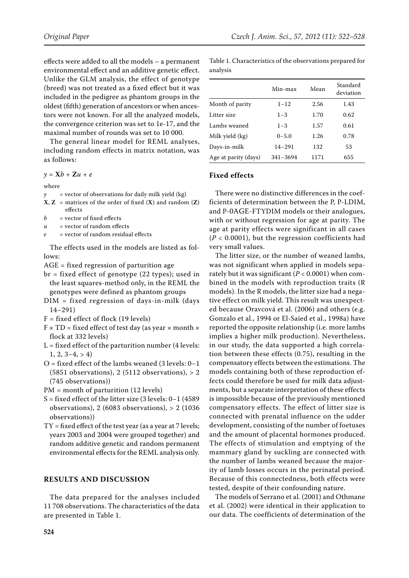effects were added to all the models – a permanent environmental effect and an additive genetic effect. Unlike the GLM analysis, the effect of genotype (breed) was not treated as a fixed effect but it was included in the pedigree as phantom groups in the oldest (fifth) generation of ancestors or when ancestors were not known. For all the analyzed models, the convergence criterion was set to 1e-17, and the maximal number of rounds was set to 10 000.

The general linear model for REML analyses, including random effects in matrix notation, was as follows:

*y* = **X***b* + **Z***u* + *e*

where

- $\gamma$  = vector of observations for daily milk yield (kg)
- $X, Z$  = matrices of the order of fixed  $(X)$  and random  $(Z)$ effects
- $b =$  vector of fixed effects
- $u =$  vector of random effects
- *e* = vector of random residual effects

The effects used in the models are listed as fol $lows$ 

- AGE = fixed regression of parturition age
- br = fixed effect of genotype (22 types); used in the least squares-method only, in the REML the genotypes were defined as phantom groups
- DIM = fixed regression of days-in-milk (days 14−291)
- $F = fixed effect of flock (19 levels)$
- $F \times TD = fixed$  effect of test day (as year  $\times$  month  $\times$ flock at 332 levels)
- $L = fixed$  effect of the parturition number (4 levels:  $1, 2, 3-4, > 4$
- O = fixed effect of the lambs weaned (3 levels: 0−1 (5851 observations), 2 (5112 observations),  $> 2$ (745 observations))

PM = month of parturition (12 levels)

- S = fixed effect of the litter size (3 levels: 0−1 (4589 observations), 2 (6083 observations), > 2 (1036 observations))
- $TY = fixed$  effect of the test year (as a year at 7 levels; years 2003 and 2004 were grouped together) and random additive genetic and random permanent environmental effects for the REML analysis only.

## **RESULTS AND DISCUSSION**

The data prepared for the analyses included 11 708 observations. The characteristics of the data are presented in Table 1.

Table 1. Characteristics of the observations prepared for analysis

|                      | Min-max    | Mean | Standard<br>deviation |
|----------------------|------------|------|-----------------------|
| Month of parity      | $1 - 12$   | 2.56 | 1.43                  |
| Litter size          | $1 - 3$    | 1.70 | 0.62                  |
| Lambs weaned         | $1 - 3$    | 1.57 | 0.61                  |
| Milk yield (kg)      | $0 - 5.0$  | 1.26 | 0.78                  |
| Days-in-milk         | $14 - 291$ | 132  | 53                    |
| Age at parity (days) | 341-3694   | 1171 | 655                   |

## **Fixed effects**

There were no distinctive differences in the coefficients of determination between the P, P-LDIM, and P-0AGE-FTYDIM models or their analogues, with or without regression for age at parity. The age at parity effects were significant in all cases (*P* < 0.0001), but the regression coefficients had very small values.

The litter size, or the number of weaned lambs, was not significant when applied in models separately but it was significant  $(P < 0.0001)$  when combined in the models with reproduction traits (R models). In the R models, the litter size had a negative effect on milk yield. This result was unexpected because Oravcová et al. (2006) and others (e.g. Gonzalo et al., 1994 or El-Saied et al., 1998a) have reported the opposite relationship (i.e. more lambs implies a higher milk production). Nevertheless, in our study, the data supported a high correlation between these effects (0.75), resulting in the compensatory effects between the estimations. The models containing both of these reproduction effects could therefore be used for milk data adjustments, but a separate interpretation of these effects is impossible because of the previously mentioned compensatory effects. The effect of litter size is connected with prenatal influence on the udder development, consisting of the number of foetuses and the amount of placental hormones produced. The effects of stimulation and emptying of the mammary gland by suckling are connected with the number of lambs weaned because the majority of lamb losses occurs in the perinatal period. Because of this connectedness, both effects were tested, despite of their confounding nature.

The models of Serrano et al. (2001) and Othmane et al. (2002) were identical in their application to our data. The coefficients of determination of the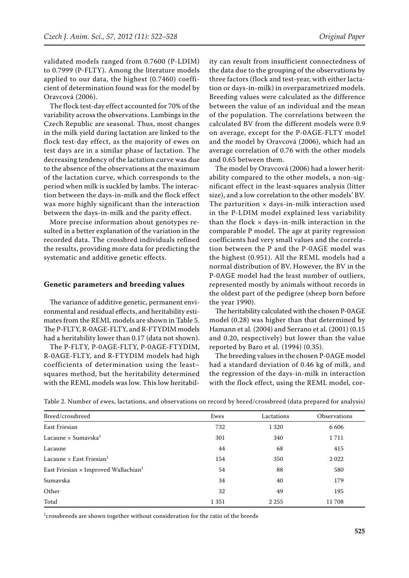validated models ranged from 0.7600 (P-LDIM) to 0.7999 (P-FLTY). Among the literature models applied to our data, the highest (0.7460) coefficient of determination found was for the model by Oravcová (2006).

The flock test-day effect accounted for 70% of the variability across the observations. Lambings in the Czech Republic are seasonal. Thus, most changes in the milk yield during lactation are linked to the flock test-day effect, as the majority of ewes on test days are in a similar phase of lactation. The decreasing tendency of the lactation curve was due to the absence of the observations at the maximum of the lactation curve, which corresponds to the period when milk is suckled by lambs. The interaction between the days-in-milk and the flock effect was more highly significant than the interaction between the days-in-milk and the parity effect.

More precise information about genotypes resulted in a better explanation of the variation in the recorded data. The crossbred individuals refined the results, providing more data for predicting the systematic and additive genetic effects.

#### **Genetic parameters and breeding values**

The variance of additive genetic, permanent environmental and residual effects, and heritability estimates from the REML models are shown in Table 5. The P-FLTY, R-0AGE-FLTY, and R-FTYDIM models had a heritability lower than 0.17 (data not shown).

The P-FLTY, P-0AGE-FLTY, P-0AGE-FTYDIM, R-0AGE-FLTY, and R-FTYDIM models had high coefficients of determination using the least– squares method, but the heritability determined with the REML models was low. This low heritability can result from insufficient connectedness of the data due to the grouping of the observations by three factors (flock and test-year, with either lactation or days-in-milk) in overparametrized models. Breeding values were calculated as the difference between the value of an individual and the mean of the population. The correlations between the calculated BV from the different models were 0.9 on average, except for the P-0AGE-FLTY model and the model by Oravcová (2006), which had an average correlation of 0.76 with the other models and 0.65 between them.

The model by Oravcová (2006) had a lower heritability compared to the other models, a non-significant effect in the least-squares analysis (litter size), and a low correlation to the other models' BV. The parturition  $\times$  days-in-milk interaction used in the P-LDIM model explained less variability than the flock  $\times$  days-in-milk interaction in the comparable P model. The age at parity regression coefficients had very small values and the correlation between the P and the P-0AGE model was the highest (0.951). All the REML models had a normal distribution of BV. However, the BV in the P-0AGE model had the least number of outliers, represented mostly by animals without records in the oldest part of the pedigree (sheep born before the year 1990).

The heritability calculated with the chosen P-0AGE model (0.28) was higher than that determined by Hamann et al. (2004) and Serrano et al. (2001) (0.15 and 0.20, respectively) but lower than the value reported by Baro et al. (1994) (0.35).

The breeding values in the chosen P-0AGE model had a standard deviation of 0.46 kg of milk, and the regression of the days-in-milk in interaction with the flock effect, using the REML model, cor-

| Breed/crossbreed                                        | Ewes    | Lactations | <b>Observations</b> |
|---------------------------------------------------------|---------|------------|---------------------|
| East Friesian                                           | 732     | 1 3 2 0    | 6 6 0 6             |
| Lacaune $\times$ Sumavska <sup>1</sup>                  | 301     | 340        | 1711                |
| Lacaune                                                 | 44      | 68         | 415                 |
| Lacaune $\times$ East Friesian <sup>1</sup>             | 154     | 350        | 2022                |
| East Friesian $\times$ Improved Wallachian <sup>1</sup> | 54      | 88         | 580                 |
| Sumavska                                                | 34      | 40         | 179                 |
| Other                                                   | 32      | 49         | 195                 |
| Total                                                   | 1 3 5 1 | 2 2 5 5    | 11708               |

Table 2. Number of ewes, lactations, and observations on record by breed/crossbreed (data prepared for analysis)

 $1$ crossbreeds are shown together without consideration for the ratio of the breeds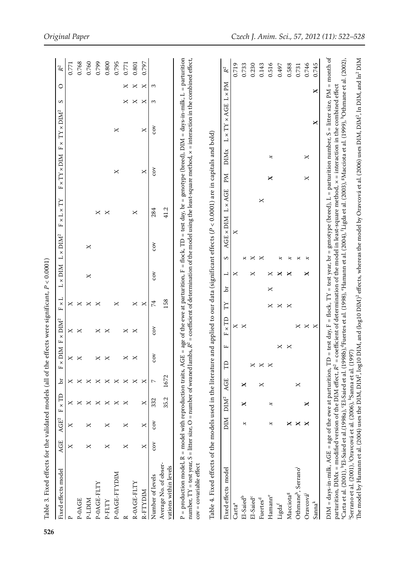| <b>NICT-d</b><br>P-OAGE<br>$\sim$                                                                                                                                                                                                   |          |     |        |            |                |                    |          |        |     |                            |                   |                                                                                                                        |               |   | $\mathbb{R}^2$ |
|-------------------------------------------------------------------------------------------------------------------------------------------------------------------------------------------------------------------------------------|----------|-----|--------|------------|----------------|--------------------|----------|--------|-----|----------------------------|-------------------|------------------------------------------------------------------------------------------------------------------------|---------------|---|----------------|
|                                                                                                                                                                                                                                     | $\times$ | ×   | ×      | ×          | $\times$       | ×                  | ×        |        |     |                            |                   |                                                                                                                        |               |   | 0.771          |
|                                                                                                                                                                                                                                     |          |     | ×      |            |                | ×                  | ×        |        |     |                            |                   |                                                                                                                        |               |   | 0.768          |
|                                                                                                                                                                                                                                     | ×        | ×   | ×      | ×          |                |                    | ×        | ×      | ×   |                            |                   |                                                                                                                        |               |   | 0.760          |
| P-OAGE-FLTY                                                                                                                                                                                                                         |          |     | ×      |            |                | ×                  | ×        |        |     | $\pmb{\times}$             |                   |                                                                                                                        |               |   | 0.799          |
| P-FLTY                                                                                                                                                                                                                              | ×        | ×   | ×      | ×          |                | ×                  |          |        |     | ×                          |                   |                                                                                                                        |               |   | 0.800          |
| P-0AGE-FTYDIM                                                                                                                                                                                                                       |          |     | ×      | ×          |                |                    | ×        |        |     |                            | ×                 | ×                                                                                                                      |               |   | 0.795          |
| $\approx$                                                                                                                                                                                                                           | ×        | ×   | ×      | ×          |                | ×                  |          |        |     |                            |                   |                                                                                                                        | ×             | × | 0.771          |
| R-0AGE-FLTY                                                                                                                                                                                                                         |          |     |        | ×          |                | ×                  | $\times$ |        |     | ×                          |                   |                                                                                                                        | ×             | × | 0.801          |
| R-FTYDIM                                                                                                                                                                                                                            | $\times$ | ×   | ×      | ×          |                |                    | ×        |        |     |                            | $\times$          | ×                                                                                                                      | ×             | × | 0.797          |
| Number of levels                                                                                                                                                                                                                    | cov      | cov | 332    | $\sim$     | cov            | cov                | 74       | cov    | cov | 284                        | cov               | coy                                                                                                                    | S             | 3 |                |
| Average No. of obser-<br>vations within levels                                                                                                                                                                                      |          |     | 35.2   | 1672       |                |                    | 158      |        |     | 41.2                       |                   |                                                                                                                        |               |   |                |
| Fixed effects model                                                                                                                                                                                                                 |          | NIQ | $DM^2$ | <b>AGE</b> | щ<br>Э         | Ê<br>$\times$<br>щ | N        | ⊣<br>ď | S   | $\times$<br>┙<br>AGE × DIM | DIMx<br>Иd<br>AGE | TY × AGE<br>$\times$<br>$\overline{\phantom{0}}$                                                                       | $L \times PM$ |   | $\mathbb{R}^2$ |
| Cartaª                                                                                                                                                                                                                              |          |     |        |            |                | X                  |          | ×      |     | ×                          |                   |                                                                                                                        |               |   | 0.719          |
| El-Saied <sup>b</sup>                                                                                                                                                                                                               |          | B   | ×      | ×          |                | $\times$           |          |        | ×   |                            |                   |                                                                                                                        |               |   | 0.733          |
| El-Saied <sup>c</sup>                                                                                                                                                                                                               |          |     |        |            | ×              |                    |          | ×      | ×   |                            |                   |                                                                                                                        |               |   | 0.230          |
| Fuertes <sup>d</sup>                                                                                                                                                                                                                |          |     |        | ×          | $\pmb{\times}$ |                    |          |        | ×   | ×                          |                   |                                                                                                                        |               |   | 0.143          |
| Hamanne                                                                                                                                                                                                                             |          | z   | ×      |            | $\times$       |                    | ×        | ×<br>× |     |                            | z<br>×            |                                                                                                                        |               |   | 0.516          |
| Ligda <sup>f</sup>                                                                                                                                                                                                                  |          |     |        |            | ×              |                    | ×        | ×      | x   |                            |                   |                                                                                                                        |               |   | 0.497          |
| Macciota <sup>g</sup>                                                                                                                                                                                                               |          | ×   |        |            | $\times$       |                    | ×        | ×      | ×   |                            |                   |                                                                                                                        |               |   | 0.588          |
| Othmane <sup>h</sup> , Serrano <sup>i</sup>                                                                                                                                                                                         |          | ×   |        | $\times$   |                | ×                  |          |        | ×   |                            |                   |                                                                                                                        |               |   | 0.731          |
| Oravcová <sup>j</sup>                                                                                                                                                                                                               |          |     | ×      |            |                | $\times$           |          | ×      | x   |                            | ×<br>×            |                                                                                                                        |               |   | 0.746          |
| $Sanna^k$                                                                                                                                                                                                                           |          |     |        |            |                | $\times$           |          |        |     |                            |                   | ×                                                                                                                      | ×             |   | 0.745          |
| $\rm{DM}$ = days-in-milk, AGE = age of the ewe at parturition, TI                                                                                                                                                                   |          |     |        |            |                |                    |          |        |     |                            |                   | ) = test day, F = flock, TY = test year, br = genotype (breed), L = parturition number, S = litter size, PM = month of |               |   |                |
| parturition, DIMx = modified version of the DIM effect, $R^2$ =                                                                                                                                                                     |          |     |        |            |                |                    |          |        |     |                            |                   | coefficient of determination of the model in least-square method, $x =$ interaction in the combined effect             |               |   |                |
| <sup>a</sup> Carta et al. (2001), <sup>b</sup> El-Saied et al. (1998a), 'El-Saied et al. (1998b), <sup>d</sup> Fuertes et al. (1998), "Hamann et al. (2004), 'Ligda et al. (2003), "Macciota et al. (1999), "Othmane et al. (2002), |          |     |        |            |                |                    |          |        |     |                            |                   |                                                                                                                        |               |   |                |

**526**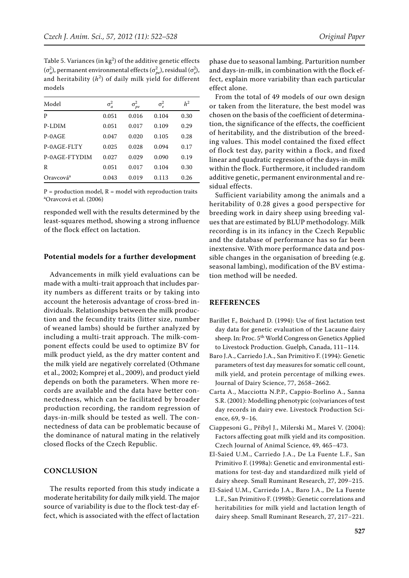Table 5. Variances (in  $kg^2$ ) of the additive genetic effects  $(\sigma_a^2)$ , permanent environmental effects  $(\sigma_{pe}^2)$ , residual  $(\sigma_e^2)$ , and heritability  $(h^2)$  of daily milk yield for different models

| Model                 | $\sigma_a^2$ | $\sigma^2$<br>pe | $\sigma_e^2$ | h <sup>2</sup> |
|-----------------------|--------------|------------------|--------------|----------------|
| P                     | 0.051        | 0.016            | 0.104        | 0.30           |
| P-LDIM                | 0.051        | 0.017            | 0.109        | 0.29           |
| $P-0AGE$              | 0.047        | 0.020            | 0.105        | 0.28           |
| P-0AGE-FLTY           | 0.025        | 0.028            | 0.094        | 0.17           |
| P-0AGE-FTYDIM         | 0.027        | 0.029            | 0.090        | 0.19           |
| R                     | 0.051        | 0.017            | 0.104        | 0.30           |
| Oravcová <sup>a</sup> | 0.043        | 0.019            | 0.113        | 0.26           |

 $P =$  production model,  $R =$  model with reproduction traits a Oravcová et al. (2006)

responded well with the results determined by the least-squares method, showing a strong influence of the flock effect on lactation.

## **Potential models for a further development**

Advancements in milk yield evaluations can be made with a multi-trait approach that includes parity numbers as different traits or by taking into account the heterosis advantage of cross-bred individuals. Relationships between the milk production and the fecundity traits (litter size, number of weaned lambs) should be further analyzed by including a multi-trait approach. The milk-component effects could be used to optimize BV for milk product yield, as the dry matter content and the milk yield are negatively correlated (Othmane et al., 2002; Komprej et al., 2009), and product yield depends on both the parameters. When more records are available and the data have better connectedness, which can be facilitated by broader production recording, the random regression of days-in-milk should be tested as well. The connectedness of data can be problematic because of the dominance of natural mating in the relatively closed flocks of the Czech Republic.

### **CONCLUSION**

The results reported from this study indicate a moderate heritability for daily milk yield. The major source of variability is due to the flock test-day effect, which is associated with the effect of lactation

phase due to seasonal lambing. Parturition number and days-in-milk, in combination with the flock effect, explain more variability than each particular effect alone.

From the total of 49 models of our own design or taken from the literature, the best model was chosen on the basis of the coefficient of determination, the significance of the effects, the coefficient of heritability, and the distribution of the breeding values. This model contained the fixed effect of flock test day, parity within a flock, and fixed linear and quadratic regression of the days-in-milk within the flock. Furthermore, it included random additive genetic, permanent environmental and residual effects.

Sufficient variability among the animals and a heritability of 0.28 gives a good perspective for breeding work in dairy sheep using breeding values that are estimated by BLUP methodology. Milk recording is in its infancy in the Czech Republic and the database of performance has so far been inextensive. With more performance data and possible changes in the organisation of breeding (e.g. seasonal lambing), modification of the BV estimation method will be needed.

#### **REFERENCES**

- Barillet F., Boichard D. (1994): Use of first lactation test day data for genetic evaluation of the Lacaune dairy sheep. In: Proc. 5<sup>th</sup> World Congress on Genetics Applied to Livestock Production. Guelph, Canada, 111–114.
- Baro J.A., Carriedo J.A., San Primitivo F. (1994): Genetic parameters of test day measures for somatic cell count, milk yield, and protein percentage of milking ewes. Journal of Dairy Science, 77, 2658−2662.
- Carta A., Macciotta N.P.P., Cappio-Borlino A., Sanna S.R. (2001): Modelling phenotypic (co)variances of test day records in dairy ewe. Livestock Production Science, 69, 9−16.
- Ciappesoni G., Přibyl J., Milerski M., Mareš V. (2004): Factors affecting goat milk yield and its composition. Czech Journal of Animal Science, 49, 465−473.
- El-Saied U.M., Carriedo J.A., De La Fuente L.F., San Primitivo F. (1998a): Genetic and environmental estimations for test-day and standardized milk yield of dairy sheep. Small Ruminant Research, 27, 209−215.
- El-Saied U.M., Carriedo J.A., Baro J.A., De La Fuente L.F., San Primitivo F. (1998b): Genetic correlations and heritabilities for milk yield and lactation length of dairy sheep. Small Ruminant Research, 27, 217−221.